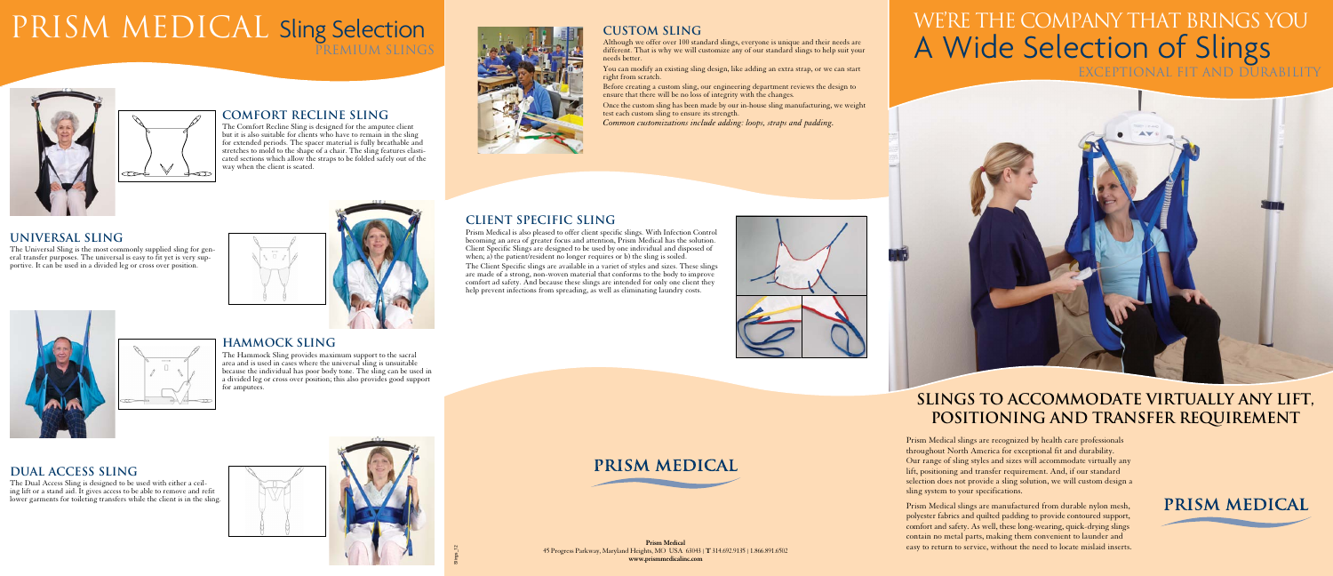## **Custom Sling**

Although we offer over 100 standard slings, everyone is unique and their needs are different. That is why we will customize any of our standard slings to help suit your

needs better.

You can modify an existing sling design, like adding an extra strap, or we can start right from scratch.



Prism Medical is also pleased to offer client specific slings. With Infection Control becoming an area of greater focus and attention, Prism Medical has the solution. Client Specific Slings are designed to be used by one individual and disposed of when; a) the patient/resident no longer requires or b) the sling is soiled.

- Before creating a custom sling, our engineering department reviews the design to ensure that there will be no loss of integrity with the changes.
- Once the custom sling has been made by our in-house sling manufacturing, we weight test each custom sling to ensure its strength.
- *Common customizations include adding: loops, straps and padding.*



The Client Specific slings are available in a variet of styles and sizes. These slings and show opening and available in a variet of styles and sizes. These sings<br>are made of a strong, non-woven material that conforms to the body to improve comfort ad safety. And because these slings are intended for only one client they help prevent infections from spreading, as well as eliminating laundry costs.





#### **Client specific Sling**

# PRISM MEDICAL Sling Selection Premium slings



**Comfort recline sling**

The Comfort Recline Sling is designed for the amputee client but it is also suitable for clients who have to remain in the sling for extended periods. The spacer material is fully breathable and stretches to mold to the shape of a chair. The sling features elasticated sections which allow the straps to be folded safely out of the



way when the client is seated.



The Universal Sling is the most commonly supplied sling for general transfer purposes. The universal is easy to fit yet is very supportive. It can be used in a divided leg or cross over position.



### **hammock sling**

The Hammock Sling provides maximum support to the sacral area and is used in cases where the universal sling is unsuitable because the individual has poor body tone. The sling can be used in a divided leg or cross over position; this also provides good support for amputees.

#### **dual access sling**

The Dual Access Sling is designed to be used with either a ceiling lift or a stand aid. It gives access to be able to remove and refit lower garments for toileting transfers while the client is in the sling.





Prism Medical slings are recognized by health care professionals throughout North America for exceptional fit and durability. Our range of sling styles and sizes will accommodate virtually any lift, positioning and transfer requirement. And, if our standard selection does not provide a sling solution, we will custom design a sling system to your specifications.

Prism Medical slings are manufactured from durable nylon mesh, polyester fabrics and quilted padding to provide contoured support, comfort and safety. As well, these long-wearing, quick-drying slings contain no metal parts, making them convenient to launder and easy to return to service, without the need to locate mislaid inserts.



PRISM MEDICAL

## **slings to accommodate virtually any lift, positioning and transfer requirement**

# We're the company that brings you A Wide Selection of Slings exceptional fit and durability



**Prism Medical** 45 Progress Parkway, Maryland Heights, MO USA 63043 | **T** 314.692.9135 | 1.866.891.6502 **www.prismmedicalinc.com**